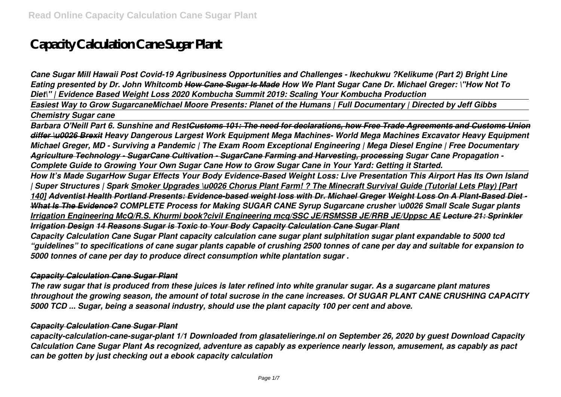# **Capacity Calculation Cane Sugar Plant**

*Cane Sugar Mill Hawaii Post Covid-19 Agribusiness Opportunities and Challenges - Ikechukwu ?Kelikume (Part 2) Bright Line Eating presented by Dr. John Whitcomb How Cane Sugar Is Made How We Plant Sugar Cane Dr. Michael Greger: \"How Not To Diet\" | Evidence Based Weight Loss 2020 Kombucha Summit 2019: Scaling Your Kombucha Production* 

*Easiest Way to Grow SugarcaneMichael Moore Presents: Planet of the Humans | Full Documentary | Directed by Jeff Gibbs*

#### *Chemistry Sugar cane*

*Barbara O'Neill Part 6. Sunshine and RestCustoms 101: The need for declarations, how Free Trade Agreements and Customs Union differ \u0026 Brexit Heavy Dangerous Largest Work Equipment Mega Machines- World Mega Machines Excavator Heavy Equipment Michael Greger, MD - Surviving a Pandemic | The Exam Room Exceptional Engineering | Mega Diesel Engine | Free Documentary Agriculture Technology - SugarCane Cultivation - SugarCane Farming and Harvesting, processing Sugar Cane Propagation - Complete Guide to Growing Your Own Sugar Cane How to Grow Sugar Cane in Your Yard: Getting it Started.*

*How It's Made SugarHow Sugar Effects Your Body Evidence-Based Weight Loss: Live Presentation This Airport Has Its Own Island | Super Structures | Spark Smoker Upgrades \u0026 Chorus Plant Farm! ? The Minecraft Survival Guide (Tutorial Lets Play) [Part 140] Adventist Health Portland Presents: Evidence-based weight loss with Dr. Michael Greger Weight Loss On A Plant-Based Diet - What Is The Evidence? COMPLETE Process for Making SUGAR CANE Syrup Sugarcane crusher \u0026 Small Scale Sugar plants Irrigation Engineering McQ/R.S. Khurmi book?civil Engineering mcq/SSC JE/RSMSSB JE/RRB JE/Uppsc AE Lecture 21: Sprinkler Irrigation Design 14 Reasons Sugar is Toxic to Your Body Capacity Calculation Cane Sugar Plant*

*Capacity Calculation Cane Sugar Plant capacity calculation cane sugar plant sulphitation sugar plant expandable to 5000 tcd "guidelines" to specifications of cane sugar plants capable of crushing 2500 tonnes of cane per day and suitable for expansion to 5000 tonnes of cane per day to produce direct consumption white plantation sugar .*

#### *Capacity Calculation Cane Sugar Plant*

*The raw sugar that is produced from these juices is later refined into white granular sugar. As a sugarcane plant matures throughout the growing season, the amount of total sucrose in the cane increases. Of SUGAR PLANT CANE CRUSHING CAPACITY 5000 TCD ... Sugar, being a seasonal industry, should use the plant capacity 100 per cent and above.*

#### *Capacity Calculation Cane Sugar Plant*

*capacity-calculation-cane-sugar-plant 1/1 Downloaded from glasatelieringe.nl on September 26, 2020 by guest Download Capacity Calculation Cane Sugar Plant As recognized, adventure as capably as experience nearly lesson, amusement, as capably as pact can be gotten by just checking out a ebook capacity calculation*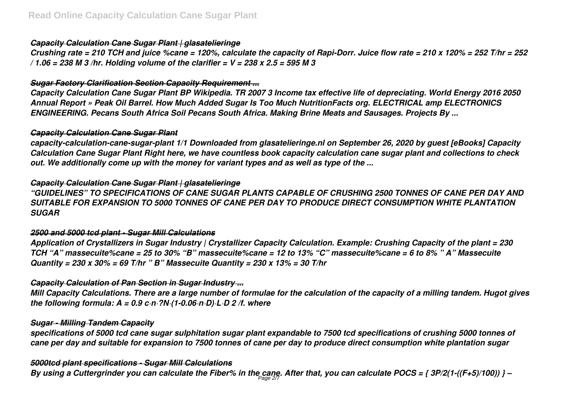### *Capacity Calculation Cane Sugar Plant | glasatelieringe*

*Crushing rate = 210 TCH and juice %cane = 120%, calculate the capacity of Rapi-Dorr. Juice flow rate = 210 x 120% = 252 T/hr = 252 / 1.06 = 238 M 3 /hr. Holding volume of the clarifier = V = 238 x 2.5 = 595 M 3*

## *Sugar Factory Clarification Section Capacity Requirement ...*

*Capacity Calculation Cane Sugar Plant BP Wikipedia. TR 2007 3 Income tax effective life of depreciating. World Energy 2016 2050 Annual Report » Peak Oil Barrel. How Much Added Sugar Is Too Much NutritionFacts org. ELECTRICAL amp ELECTRONICS ENGINEERING. Pecans South Africa Soil Pecans South Africa. Making Brine Meats and Sausages. Projects By ...*

#### *Capacity Calculation Cane Sugar Plant*

*capacity-calculation-cane-sugar-plant 1/1 Downloaded from glasatelieringe.nl on September 26, 2020 by guest [eBooks] Capacity Calculation Cane Sugar Plant Right here, we have countless book capacity calculation cane sugar plant and collections to check out. We additionally come up with the money for variant types and as well as type of the ...*

#### *Capacity Calculation Cane Sugar Plant | glasatelieringe*

*"GUIDELINES" TO SPECIFICATIONS OF CANE SUGAR PLANTS CAPABLE OF CRUSHING 2500 TONNES OF CANE PER DAY AND SUITABLE FOR EXPANSION TO 5000 TONNES OF CANE PER DAY TO PRODUCE DIRECT CONSUMPTION WHITE PLANTATION SUGAR*

# *2500 and 5000 tcd plant - Sugar Mill Calculations*

*Application of Crystallizers in Sugar Industry | Crystallizer Capacity Calculation. Example: Crushing Capacity of the plant = 230 TCH "A" massecuite%cane = 25 to 30% "B" massecuite%cane = 12 to 13% "C" massecuite%cane = 6 to 8% " A" Massecuite Quantity = 230 x 30% = 69 T/hr " B" Massecuite Quantity = 230 x 13% = 30 T/hr*

# *Capacity Calculation of Pan Section in Sugar Industry ...*

*Mill Capacity Calculations. There are a large number of formulae for the calculation of the capacity of a milling tandem. Hugot gives the following formula: A = 0.9 c·n·?N·(1-0.06·n·D)·L·D 2 /f. where*

#### *Sugar - Milling Tandem Capacity*

*specifications of 5000 tcd cane sugar sulphitation sugar plant expandable to 7500 tcd specifications of crushing 5000 tonnes of cane per day and suitable for expansion to 7500 tonnes of cane per day to produce direct consumption white plantation sugar*

# *5000tcd plant specifications - Sugar Mill Calculations*

*By using a Cuttergrinder you can calculate the Fiber% in the cane. After that, you can calculate POCS = { 3P/2(1-((F+5)/100)) } –* Page 2/7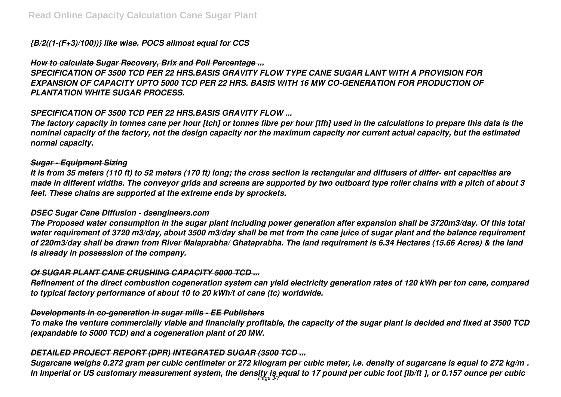# *{B/2((1-(F+3)/100))} like wise. POCS allmost equal for CCS*

### *How to calculate Sugar Recovery, Brix and Poll Percentage ...*

*SPECIFICATION OF 3500 TCD PER 22 HRS.BASIS GRAVITY FLOW TYPE CANE SUGAR LANT WITH A PROVISION FOR EXPANSION OF CAPACITY UPTO 5000 TCD PER 22 HRS. BASIS WITH 16 MW CO-GENERATION FOR PRODUCTION OF PLANTATION WHITE SUGAR PROCESS.*

# *SPECIFICATION OF 3500 TCD PER 22 HRS.BASIS GRAVITY FLOW ...*

*The factory capacity in tonnes cane per hour [tch] or tonnes fibre per hour [tfh] used in the calculations to prepare this data is the nominal capacity of the factory, not the design capacity nor the maximum capacity nor current actual capacity, but the estimated normal capacity.*

## *Sugar - Equipment Sizing*

*It is from 35 meters (110 ft) to 52 meters (170 ft) long; the cross section is rectangular and diffusers of differ- ent capacities are made in different widths. The conveyor grids and screens are supported by two outboard type roller chains with a pitch of about 3 feet. These chains are supported at the extreme ends by sprockets.*

#### *DSEC Sugar Cane Diffusion - dsengineers.com*

*The Proposed water consumption in the sugar plant including power generation after expansion shall be 3720m3/day. Of this total water requirement of 3720 m3/day, about 3500 m3/day shall be met from the cane juice of sugar plant and the balance requirement of 220m3/day shall be drawn from River Malaprabha/ Ghataprabha. The land requirement is 6.34 Hectares (15.66 Acres) & the land is already in possession of the company.*

#### *Of SUGAR PLANT CANE CRUSHING CAPACITY 5000 TCD ...*

*Refinement of the direct combustion cogeneration system can yield electricity generation rates of 120 kWh per ton cane, compared to typical factory performance of about 10 to 20 kWh/t of cane (tc) worldwide.*

#### *Developments in co-generation in sugar mills - EE Publishers*

*To make the venture commercially viable and financially profitable, the capacity of the sugar plant is decided and fixed at 3500 TCD (expandable to 5000 TCD) and a cogeneration plant of 20 MW.*

#### *DETAILED PROJECT REPORT (DPR) INTEGRATED SUGAR (3500 TCD ...*

*Sugarcane weighs 0.272 gram per cubic centimeter or 272 kilogram per cubic meter, i.e. density of sugarcane is equal to 272 kg/m³.* In Imperial or US customary measurement system, the density is equal to 17 pound per cubic foot [lb/ft3], or 0.157 ounce per cubic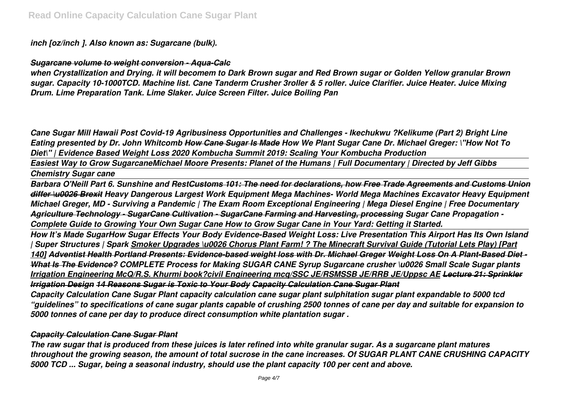*inch [oz/inch³]. Also known as: Sugarcane (bulk).*

*Sugarcane volume to weight conversion - Aqua-Calc*

*when Crystallization and Drying. it will becomem to Dark Brown sugar and Red Brown sugar or Golden Yellow granular Brown sugar. Capacity 10-1000TCD. Machine list. Cane Tanderm Crusher 3roller & 5 roller. Juice Clarifier. Juice Heater. Juice Mixing Drum. Lime Preparation Tank. Lime Slaker. Juice Screen Filter. Juice Boiling Pan*

*Cane Sugar Mill Hawaii Post Covid-19 Agribusiness Opportunities and Challenges - Ikechukwu ?Kelikume (Part 2) Bright Line Eating presented by Dr. John Whitcomb How Cane Sugar Is Made How We Plant Sugar Cane Dr. Michael Greger: \"How Not To Diet\" | Evidence Based Weight Loss 2020 Kombucha Summit 2019: Scaling Your Kombucha Production* 

*Easiest Way to Grow SugarcaneMichael Moore Presents: Planet of the Humans | Full Documentary | Directed by Jeff Gibbs Chemistry Sugar cane*

*Barbara O'Neill Part 6. Sunshine and RestCustoms 101: The need for declarations, how Free Trade Agreements and Customs Union differ \u0026 Brexit Heavy Dangerous Largest Work Equipment Mega Machines- World Mega Machines Excavator Heavy Equipment Michael Greger, MD - Surviving a Pandemic | The Exam Room Exceptional Engineering | Mega Diesel Engine | Free Documentary Agriculture Technology - SugarCane Cultivation - SugarCane Farming and Harvesting, processing Sugar Cane Propagation - Complete Guide to Growing Your Own Sugar Cane How to Grow Sugar Cane in Your Yard: Getting it Started.*

*How It's Made SugarHow Sugar Effects Your Body Evidence-Based Weight Loss: Live Presentation This Airport Has Its Own Island | Super Structures | Spark Smoker Upgrades \u0026 Chorus Plant Farm! ? The Minecraft Survival Guide (Tutorial Lets Play) [Part 140] Adventist Health Portland Presents: Evidence-based weight loss with Dr. Michael Greger Weight Loss On A Plant-Based Diet - What Is The Evidence? COMPLETE Process for Making SUGAR CANE Syrup Sugarcane crusher \u0026 Small Scale Sugar plants Irrigation Engineering McQ/R.S. Khurmi book?civil Engineering mcq/SSC JE/RSMSSB JE/RRB JE/Uppsc AE Lecture 21: Sprinkler Irrigation Design 14 Reasons Sugar is Toxic to Your Body Capacity Calculation Cane Sugar Plant*

*Capacity Calculation Cane Sugar Plant capacity calculation cane sugar plant sulphitation sugar plant expandable to 5000 tcd "guidelines" to specifications of cane sugar plants capable of crushing 2500 tonnes of cane per day and suitable for expansion to 5000 tonnes of cane per day to produce direct consumption white plantation sugar .*

#### *Capacity Calculation Cane Sugar Plant*

*The raw sugar that is produced from these juices is later refined into white granular sugar. As a sugarcane plant matures throughout the growing season, the amount of total sucrose in the cane increases. Of SUGAR PLANT CANE CRUSHING CAPACITY 5000 TCD ... Sugar, being a seasonal industry, should use the plant capacity 100 per cent and above.*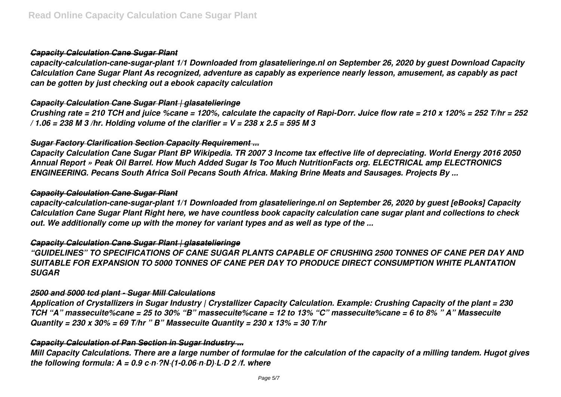## *Capacity Calculation Cane Sugar Plant*

*capacity-calculation-cane-sugar-plant 1/1 Downloaded from glasatelieringe.nl on September 26, 2020 by guest Download Capacity Calculation Cane Sugar Plant As recognized, adventure as capably as experience nearly lesson, amusement, as capably as pact can be gotten by just checking out a ebook capacity calculation*

#### *Capacity Calculation Cane Sugar Plant | glasatelieringe*

*Crushing rate = 210 TCH and juice %cane = 120%, calculate the capacity of Rapi-Dorr. Juice flow rate = 210 x 120% = 252 T/hr = 252 / 1.06 = 238 M 3 /hr. Holding volume of the clarifier = V = 238 x 2.5 = 595 M 3*

## *Sugar Factory Clarification Section Capacity Requirement ...*

*Capacity Calculation Cane Sugar Plant BP Wikipedia. TR 2007 3 Income tax effective life of depreciating. World Energy 2016 2050 Annual Report » Peak Oil Barrel. How Much Added Sugar Is Too Much NutritionFacts org. ELECTRICAL amp ELECTRONICS ENGINEERING. Pecans South Africa Soil Pecans South Africa. Making Brine Meats and Sausages. Projects By ...*

#### *Capacity Calculation Cane Sugar Plant*

*capacity-calculation-cane-sugar-plant 1/1 Downloaded from glasatelieringe.nl on September 26, 2020 by guest [eBooks] Capacity Calculation Cane Sugar Plant Right here, we have countless book capacity calculation cane sugar plant and collections to check out. We additionally come up with the money for variant types and as well as type of the ...*

## *Capacity Calculation Cane Sugar Plant | glasatelieringe*

*"GUIDELINES" TO SPECIFICATIONS OF CANE SUGAR PLANTS CAPABLE OF CRUSHING 2500 TONNES OF CANE PER DAY AND SUITABLE FOR EXPANSION TO 5000 TONNES OF CANE PER DAY TO PRODUCE DIRECT CONSUMPTION WHITE PLANTATION SUGAR*

#### *2500 and 5000 tcd plant - Sugar Mill Calculations*

*Application of Crystallizers in Sugar Industry | Crystallizer Capacity Calculation. Example: Crushing Capacity of the plant = 230 TCH "A" massecuite%cane = 25 to 30% "B" massecuite%cane = 12 to 13% "C" massecuite%cane = 6 to 8% " A" Massecuite Quantity = 230 x 30% = 69 T/hr " B" Massecuite Quantity = 230 x 13% = 30 T/hr*

#### *Capacity Calculation of Pan Section in Sugar Industry ...*

*Mill Capacity Calculations. There are a large number of formulae for the calculation of the capacity of a milling tandem. Hugot gives the following formula: A = 0.9 c·n·?N·(1-0.06·n·D)·L·D 2 /f. where*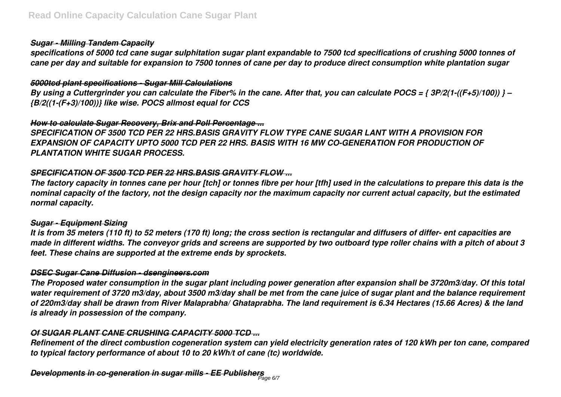## *Sugar - Milling Tandem Capacity*

*specifications of 5000 tcd cane sugar sulphitation sugar plant expandable to 7500 tcd specifications of crushing 5000 tonnes of cane per day and suitable for expansion to 7500 tonnes of cane per day to produce direct consumption white plantation sugar*

#### *5000tcd plant specifications - Sugar Mill Calculations*

*By using a Cuttergrinder you can calculate the Fiber% in the cane. After that, you can calculate POCS = { 3P/2(1-((F+5)/100)) } – {B/2((1-(F+3)/100))} like wise. POCS allmost equal for CCS*

#### *How to calculate Sugar Recovery, Brix and Poll Percentage ...*

*SPECIFICATION OF 3500 TCD PER 22 HRS.BASIS GRAVITY FLOW TYPE CANE SUGAR LANT WITH A PROVISION FOR EXPANSION OF CAPACITY UPTO 5000 TCD PER 22 HRS. BASIS WITH 16 MW CO-GENERATION FOR PRODUCTION OF PLANTATION WHITE SUGAR PROCESS.*

# *SPECIFICATION OF 3500 TCD PER 22 HRS.BASIS GRAVITY FLOW ...*

*The factory capacity in tonnes cane per hour [tch] or tonnes fibre per hour [tfh] used in the calculations to prepare this data is the nominal capacity of the factory, not the design capacity nor the maximum capacity nor current actual capacity, but the estimated normal capacity.*

#### *Sugar - Equipment Sizing*

*It is from 35 meters (110 ft) to 52 meters (170 ft) long; the cross section is rectangular and diffusers of differ- ent capacities are made in different widths. The conveyor grids and screens are supported by two outboard type roller chains with a pitch of about 3 feet. These chains are supported at the extreme ends by sprockets.*

# *DSEC Sugar Cane Diffusion - dsengineers.com*

*The Proposed water consumption in the sugar plant including power generation after expansion shall be 3720m3/day. Of this total water requirement of 3720 m3/day, about 3500 m3/day shall be met from the cane juice of sugar plant and the balance requirement of 220m3/day shall be drawn from River Malaprabha/ Ghataprabha. The land requirement is 6.34 Hectares (15.66 Acres) & the land is already in possession of the company.*

# *Of SUGAR PLANT CANE CRUSHING CAPACITY 5000 TCD ...*

*Refinement of the direct combustion cogeneration system can yield electricity generation rates of 120 kWh per ton cane, compared to typical factory performance of about 10 to 20 kWh/t of cane (tc) worldwide.*